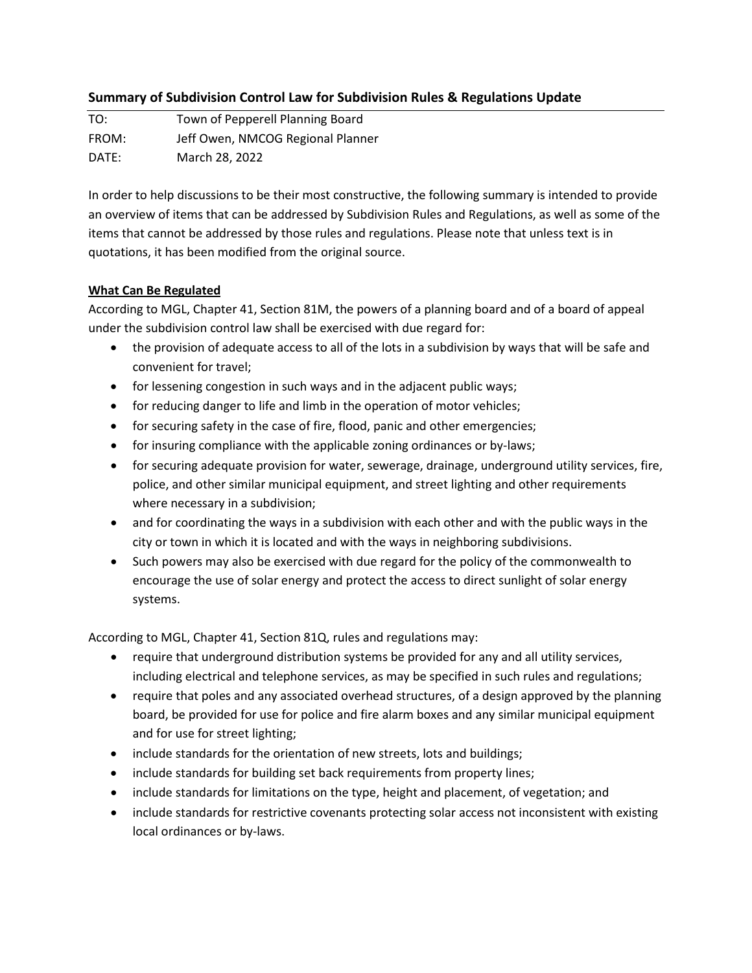## **Summary of Subdivision Control Law for Subdivision Rules & Regulations Update**

TO: Town of Pepperell Planning Board FROM: Jeff Owen, NMCOG Regional Planner DATE: March 28, 2022

In order to help discussions to be their most constructive, the following summary is intended to provide an overview of items that can be addressed by Subdivision Rules and Regulations, as well as some of the items that cannot be addressed by those rules and regulations. Please note that unless text is in quotations, it has been modified from the original source.

## **What Can Be Regulated**

According to MGL, Chapter 41, Section 81M, the powers of a planning board and of a board of appeal under the subdivision control law shall be exercised with due regard for:

- the provision of adequate access to all of the lots in a subdivision by ways that will be safe and convenient for travel;
- for lessening congestion in such ways and in the adjacent public ways;
- for reducing danger to life and limb in the operation of motor vehicles;
- for securing safety in the case of fire, flood, panic and other emergencies;
- for insuring compliance with the applicable zoning ordinances or by-laws;
- for securing adequate provision for water, sewerage, drainage, underground utility services, fire, police, and other similar municipal equipment, and street lighting and other requirements where necessary in a subdivision;
- and for coordinating the ways in a subdivision with each other and with the public ways in the city or town in which it is located and with the ways in neighboring subdivisions.
- Such powers may also be exercised with due regard for the policy of the commonwealth to encourage the use of solar energy and protect the access to direct sunlight of solar energy systems.

According to MGL, Chapter 41, Section 81Q, rules and regulations may:

- require that underground distribution systems be provided for any and all utility services, including electrical and telephone services, as may be specified in such rules and regulations;
- require that poles and any associated overhead structures, of a design approved by the planning board, be provided for use for police and fire alarm boxes and any similar municipal equipment and for use for street lighting;
- include standards for the orientation of new streets, lots and buildings;
- include standards for building set back requirements from property lines;
- include standards for limitations on the type, height and placement, of vegetation; and
- include standards for restrictive covenants protecting solar access not inconsistent with existing local ordinances or by-laws.